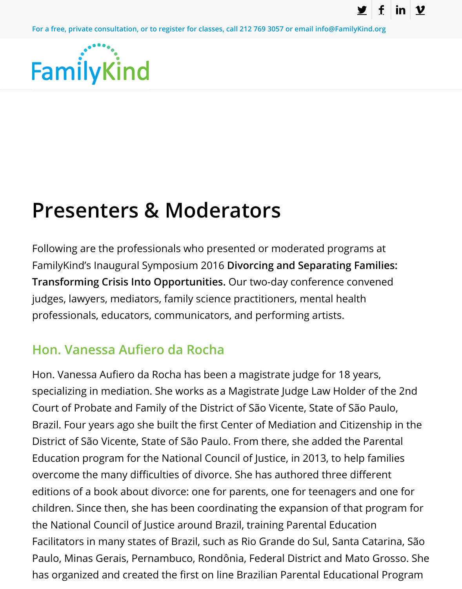# **Presenters & Moderators**

Following are the professionals who presented or moderated programs at FamilyKind's Inaugural Symposium 2016 **Divorcing and Separating Families: Transforming Crisis Into Opportunities.** Our two-day conference convened judges, lawyers, mediators, family science practitioners, mental health professionals, educators, communicators, and performing artists.

#### **Hon. Vanessa Aufiero da Rocha**

Hon. Vanessa Aufiero da Rocha has been a magistrate judge for 18 years, specializing in mediation. She works as a Magistrate Judge Law Holder of the Court of Probate and Family of the District of São Vicente, State of São Paulo Brazil. Four years ago she built the first Center of Mediation and Citizenship District of São Vicente, State of São Paulo. From there, she added the Parent Education program for the National Council of Justice, in 2013, to help famil overcome the many difficulties of divorce. She has authored three different editions of a book about divorce: one for parents, one for teenagers and on children. Since then, she has been coordinating the expansion of that progr the National Council of Justice around Brazil, training Parental Education Facilitators in many states of Brazil, such as Rio Grande do Sul, Santa Catarin Paulo, Minas Gerais, Pernambuco, Rondônia, Federal District and Mato Gros has organized and created the first on line Brazilian Parental Educational Pr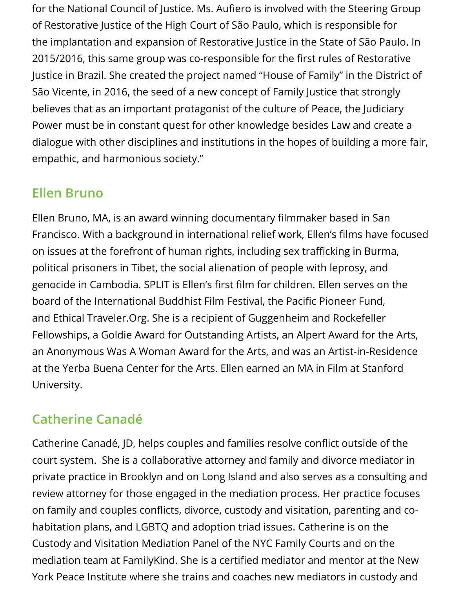for the National Council of Justice. Ms. Aufiero is involved with the Steering Group of Restorative Justice of the High Court of São Paulo, which is responsible for the implantation and expansion of Restorative Justice in the State of São Paulo. In 2015/2016, this same group was co-responsible for the first rules of Restorative Justice in Brazil. She created the project named "House of Family" in the District of São Vicente, in 2016, the seed of a new concept of Family Justice that strongly believes that as an important protagonist of the culture of Peace, the Judiciary Power must be in constant quest for other knowledge besides Law and create a dialogue with other disciplines and institutions in the hopes of building a more fair, empathic, and harmonious society."

# **Ellen Bruno**

Ellen Bruno, MA, is an award winning documentary filmmaker based in San Francisco. With a background in international relief work, Ellen's films have focused on issues at the forefront of human rights, including sex trafficking in Burma, political prisoners in Tibet, the social alienation of people with leprosy, and genocide in Cambodia. SPLIT is Ellen's first film for children. Ellen serves on the board of the International Buddhist Film Festival, the Pacific Pioneer Fund, and Ethical Traveler.Org. She is a recipient of Guggenheim and Rockefeller Fellowships, a Goldie Award for Outstanding Artists, an Alpert Award for the Arts, an Anonymous Was A Woman Award for the Arts, and was an Artist-in-Residence at the Yerba Buena Center for the Arts. Ellen earned an MA in Film at Stanford University.

# **Catherine Canadé**

Catherine Canadé, JD, helps couples and families resolve conflict outside of the court system. She is a collaborative attorney and family and divorce mediator in private practice in Brooklyn and on Long Island and also serves as a consulting and review attorney for those engaged in the mediation process. Her practice focuses on family and couples conflicts, divorce, custody and visitation, parenting and cohabitation plans, and LGBTQ and adoption triad issues. Catherine is on the Custody and Visitation Mediation Panel of the NYC Family Courts and on the mediation team at FamilyKind. She is a certified mediator and mentor at the New York Peace Institute where she trains and coaches new mediators in custody and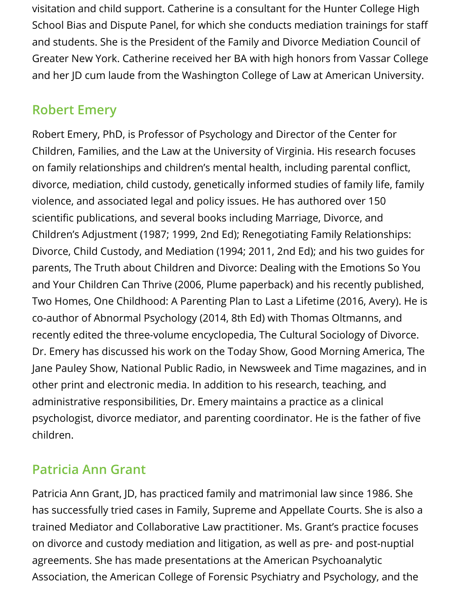visitation and child support. Catherine is a consultant for the Hunter College High School Bias and Dispute Panel, for which she conducts mediation trainings for staff and students. She is the President of the Family and Divorce Mediation Council of Greater New York. Catherine received her BA with high honors from Vassar College and her JD cum laude from the Washington College of Law at American University.

# **Robert Emery**

Robert Emery, PhD, is Professor of Psychology and Director of the Center for Children, Families, and the Law at the University of Virginia. His research focuses on family relationships and children's mental health, including parental conflict, divorce, mediation, child custody, genetically informed studies of family life, family violence, and associated legal and policy issues. He has authored over 150 scientific publications, and several books including Marriage, Divorce, and Children's Adjustment (1987; 1999, 2nd Ed); Renegotiating Family Relationships: Divorce, Child Custody, and Mediation (1994; 2011, 2nd Ed); and his two guides for parents, The Truth about Children and Divorce: Dealing with the Emotions So You and Your Children Can Thrive (2006, Plume paperback) and his recently published, Two Homes, One Childhood: A Parenting Plan to Last a Lifetime (2016, Avery). He is co-author of Abnormal Psychology (2014, 8th Ed) with Thomas Oltmanns, and recently edited the three-volume encyclopedia, The Cultural Sociology of Divorce. Dr. Emery has discussed his work on the Today Show, Good Morning America, The Jane Pauley Show, National Public Radio, in Newsweek and Time magazines, and in other print and electronic media. In addition to his research, teaching, and administrative responsibilities, Dr. Emery maintains a practice as a clinical psychologist, divorce mediator, and parenting coordinator. He is the father of five children.

# **Patricia Ann Grant**

Patricia Ann Grant, JD, has practiced family and matrimonial law since 1986. She has successfully tried cases in Family, Supreme and Appellate Courts. She is also a trained Mediator and Collaborative Law practitioner. Ms. Grant's practice focuses on divorce and custody mediation and litigation, as well as pre- and post-nuptial agreements. She has made presentations at the American Psychoanalytic Association, the American College of Forensic Psychiatry and Psychology, and the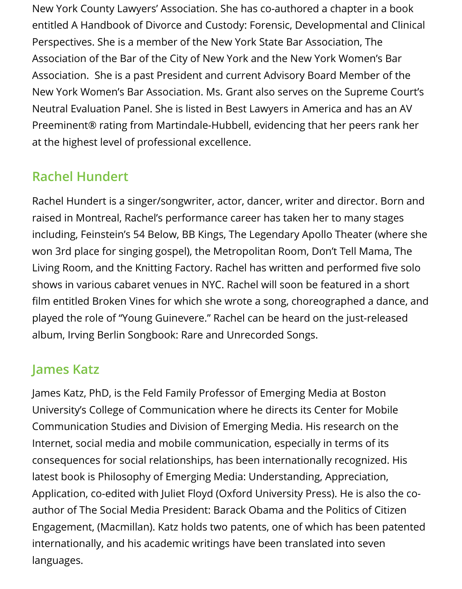New York County Lawyers' Association. She has co-authored a chapter in a book entitled A Handbook of Divorce and Custody: Forensic, Developmental and Clinical Perspectives. She is a member of the New York State Bar Association, The Association of the Bar of the City of New York and the New York Women's Bar Association. She is a past President and current Advisory Board Member of the New York Women's Bar Association. Ms. Grant also serves on the Supreme Court's Neutral Evaluation Panel. She is listed in Best Lawyers in America and has an AV Preeminent® rating from Martindale-Hubbell, evidencing that her peers rank her at the highest level of professional excellence.

# **Rachel Hundert**

Rachel Hundert is a singer/songwriter, actor, dancer, writer and director. Born and raised in Montreal, Rachel's performance career has taken her to many stages including, Feinstein's 54 Below, BB Kings, The Legendary Apollo Theater (where she won 3rd place for singing gospel), the Metropolitan Room, Don't Tell Mama, The Living Room, and the Knitting Factory. Rachel has written and performed five solo shows in various cabaret venues in NYC. Rachel will soon be featured in a short film entitled Broken Vines for which she wrote a song, choreographed a dance, and played the role of "Young Guinevere." Rachel can be heard on the just-released album, Irving Berlin Songbook: Rare and Unrecorded Songs.

#### **James Katz**

James Katz, PhD, is the Feld Family Professor of Emerging Media at Boston University's College of Communication where he directs its Center for Mobile Communication Studies and Division of Emerging Media. His research on the Internet, social media and mobile communication, especially in terms of its consequences for social relationships, has been internationally recognized. His latest book is Philosophy of Emerging Media: Understanding, Appreciation, Application, co-edited with Juliet Floyd (Oxford University Press). He is also the coauthor of The Social Media President: Barack Obama and the Politics of Citizen Engagement, (Macmillan). Katz holds two patents, one of which has been patented internationally, and his academic writings have been translated into seven languages.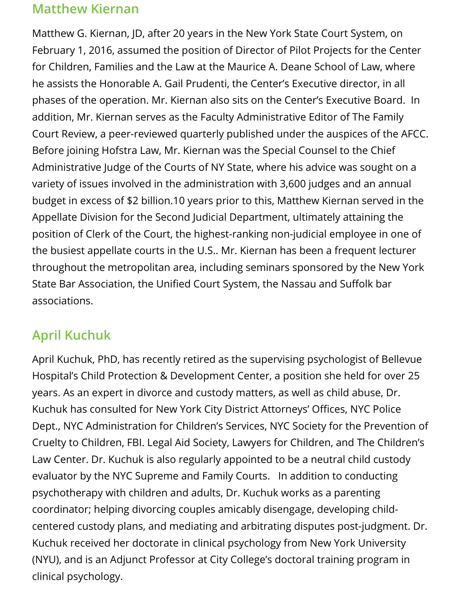#### **Matthew Kiernan**

Matthew G. Kiernan, JD, after 20 years in the New York State Court System, on February 1, 2016, assumed the position of Director of Pilot Projects for the Center for Children, Families and the Law at the Maurice A. Deane School of Law, where he assists the Honorable A. Gail Prudenti, the Center's Executive director, in all phases of the operation. Mr. Kiernan also sits on the Center's Executive Board. In addition, Mr. Kiernan serves as the Faculty Administrative Editor of The Family Court Review, a peer-reviewed quarterly published under the auspices of the AFCC. Before joining Hofstra Law, Mr. Kiernan was the Special Counsel to the Chief Administrative Judge of the Courts of NY State, where his advice was sought on a variety of issues involved in the administration with 3,600 judges and an annual budget in excess of \$2 billion.10 years prior to this, Matthew Kiernan served in the Appellate Division for the Second Judicial Department, ultimately attaining the position of Clerk of the Court, the highest-ranking non-judicial employee in one of the busiest appellate courts in the U.S.. Mr. Kiernan has been a frequent lecturer throughout the metropolitan area, including seminars sponsored by the New York State Bar Association, the Unified Court System, the Nassau and Suffolk bar associations.

# **April Kuchuk**

April Kuchuk, PhD, has recently retired as the supervising psychologist of Bellevue Hospital's Child Protection & Development Center, a position she held for over 25 years. As an expert in divorce and custody matters, as well as child abuse, Dr. Kuchuk has consulted for New York City District Attorneys' Offices, NYC Police Dept., NYC Administration for Children's Services, NYC Society for the Prevention of Cruelty to Children, FBI. Legal Aid Society, Lawyers for Children, and The Children's Law Center. Dr. Kuchuk is also regularly appointed to be a neutral child custody evaluator by the NYC Supreme and Family Courts. In addition to conducting psychotherapy with children and adults, Dr. Kuchuk works as a parenting coordinator; helping divorcing couples amicably disengage, developing childcentered custody plans, and mediating and arbitrating disputes post-judgment. Dr. Kuchuk received her doctorate in clinical psychology from New York University (NYU), and is an Adjunct Professor at City College's doctoral training program in clinical psychology.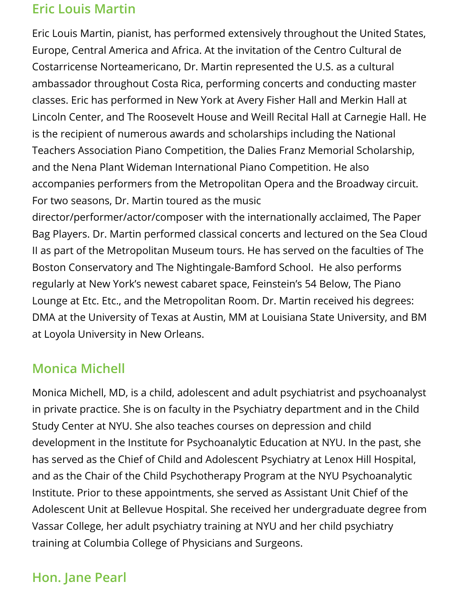#### **Eric Louis Martin**

Eric Louis Martin, pianist, has performed extensively throughout the United States, Europe, Central America and Africa. At the invitation of the Centro Cultural de Costarricense Norteamericano, Dr. Martin represented the U.S. as a cultural ambassador throughout Costa Rica, performing concerts and conducting master classes. Eric has performed in New York at Avery Fisher Hall and Merkin Hall at Lincoln Center, and The Roosevelt House and Weill Recital Hall at Carnegie Hall. He is the recipient of numerous awards and scholarships including the National Teachers Association Piano Competition, the Dalies Franz Memorial Scholarship, and the Nena Plant Wideman International Piano Competition. He also accompanies performers from the Metropolitan Opera and the Broadway circuit. For two seasons, Dr. Martin toured as the music

director/performer/actor/composer with the internationally acclaimed, The Paper Bag Players. Dr. Martin performed classical concerts and lectured on the Sea Cloud II as part of the Metropolitan Museum tours. He has served on the faculties of The Boston Conservatory and The Nightingale-Bamford School. He also performs regularly at New York's newest cabaret space, Feinstein's 54 Below, The Piano Lounge at Etc. Etc., and the Metropolitan Room. Dr. Martin received his degrees: DMA at the University of Texas at Austin, MM at Louisiana State University, and BM at Loyola University in New Orleans.

# **Monica Michell**

Monica Michell, MD, is a child, adolescent and adult psychiatrist and psychoanalyst in private practice. She is on faculty in the Psychiatry department and in the Child Study Center at NYU. She also teaches courses on depression and child development in the Institute for Psychoanalytic Education at NYU. In the past, she has served as the Chief of Child and Adolescent Psychiatry at Lenox Hill Hospital, and as the Chair of the Child Psychotherapy Program at the NYU Psychoanalytic Institute. Prior to these appointments, she served as Assistant Unit Chief of the Adolescent Unit at Bellevue Hospital. She received her undergraduate degree from Vassar College, her adult psychiatry training at NYU and her child psychiatry training at Columbia College of Physicians and Surgeons.

# **Hon. Jane Pearl**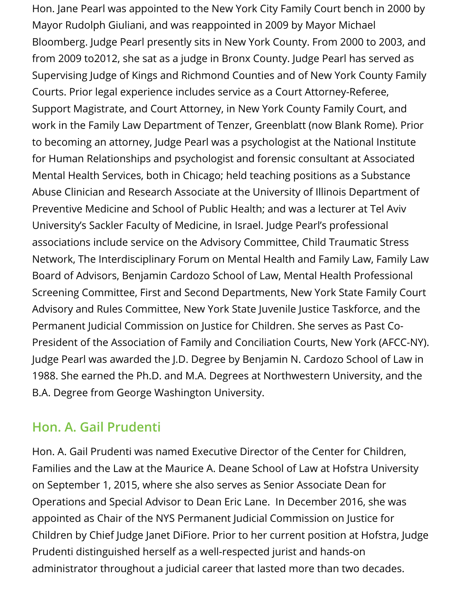Hon. Jane Pearl was appointed to the New York City Family Court bench in 2000 by Mayor Rudolph Giuliani, and was reappointed in 2009 by Mayor Michael Bloomberg. Judge Pearl presently sits in New York County. From 2000 to 2003, and from 2009 to2012, she sat as a judge in Bronx County. Judge Pearl has served as Supervising Judge of Kings and Richmond Counties and of New York County Family Courts. Prior legal experience includes service as a Court Attorney-Referee, Support Magistrate, and Court Attorney, in New York County Family Court, and work in the Family Law Department of Tenzer, Greenblatt (now Blank Rome). Prior to becoming an attorney, Judge Pearl was a psychologist at the National Institute for Human Relationships and psychologist and forensic consultant at Associated Mental Health Services, both in Chicago; held teaching positions as a Substance Abuse Clinician and Research Associate at the University of Illinois Department of Preventive Medicine and School of Public Health; and was a lecturer at Tel Aviv University's Sackler Faculty of Medicine, in Israel. Judge Pearl's professional associations include service on the Advisory Committee, Child Traumatic Stress Network, The Interdisciplinary Forum on Mental Health and Family Law, Family Law Board of Advisors, Benjamin Cardozo School of Law, Mental Health Professional Screening Committee, First and Second Departments, New York State Family Court Advisory and Rules Committee, New York State Juvenile Justice Taskforce, and the Permanent Judicial Commission on Justice for Children. She serves as Past Co-President of the Association of Family and Conciliation Courts, New York (AFCC-NY). Judge Pearl was awarded the J.D. Degree by Benjamin N. Cardozo School of Law in 1988. She earned the Ph.D. and M.A. Degrees at Northwestern University, and the B.A. Degree from George Washington University.

#### **Hon. A. Gail Prudenti**

Hon. A. Gail Prudenti was named Executive Director of the Center for Children, Families and the Law at the Maurice A. Deane School of Law at Hofstra University on September 1, 2015, where she also serves as Senior Associate Dean for Operations and Special Advisor to Dean Eric Lane. In December 2016, she was appointed as Chair of the NYS Permanent Judicial Commission on Justice for Children by Chief Judge Janet DiFiore. Prior to her current position at Hofstra, Judge Prudenti distinguished herself as a well-respected jurist and hands-on administrator throughout a judicial career that lasted more than two decades.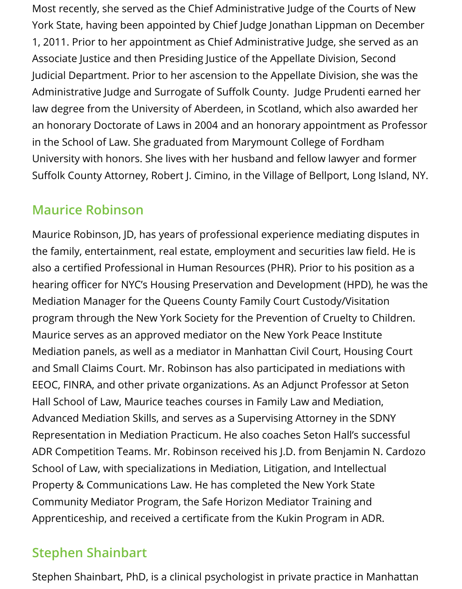Most recently, she served as the Chief Administrative Judge of the Courts of New York State, having been appointed by Chief Judge Jonathan Lippman on December 1, 2011. Prior to her appointment as Chief Administrative Judge, she served as an Associate Justice and then Presiding Justice of the Appellate Division, Second Judicial Department. Prior to her ascension to the Appellate Division, she was the Administrative Judge and Surrogate of Suffolk County. Judge Prudenti earned her law degree from the University of Aberdeen, in Scotland, which also awarded her an honorary Doctorate of Laws in 2004 and an honorary appointment as Professor in the School of Law. She graduated from Marymount College of Fordham University with honors. She lives with her husband and fellow lawyer and former Suffolk County Attorney, Robert J. Cimino, in the Village of Bellport, Long Island, NY.

#### **Maurice Robinson**

Maurice Robinson, JD, has years of professional experience mediating disputes in the family, entertainment, real estate, employment and securities law field. He is also a certified Professional in Human Resources (PHR). Prior to his position as a hearing officer for NYC's Housing Preservation and Development (HPD), he was the Mediation Manager for the Queens County Family Court Custody/Visitation program through the New York Society for the Prevention of Cruelty to Children. Maurice serves as an approved mediator on the New York Peace Institute Mediation panels, as well as a mediator in Manhattan Civil Court, Housing Court and Small Claims Court. Mr. Robinson has also participated in mediations with EEOC, FINRA, and other private organizations. As an Adjunct Professor at Seton Hall School of Law, Maurice teaches courses in Family Law and Mediation, Advanced Mediation Skills, and serves as a Supervising Attorney in the SDNY Representation in Mediation Practicum. He also coaches Seton Hall's successful ADR Competition Teams. Mr. Robinson received his J.D. from Benjamin N. Cardozo School of Law, with specializations in Mediation, Litigation, and Intellectual Property & Communications Law. He has completed the New York State Community Mediator Program, the Safe Horizon Mediator Training and Apprenticeship, and received a certificate from the Kukin Program in ADR.

# **Stephen Shainbart**

Stephen Shainbart, PhD, is a clinical psychologist in private practice in Manhattan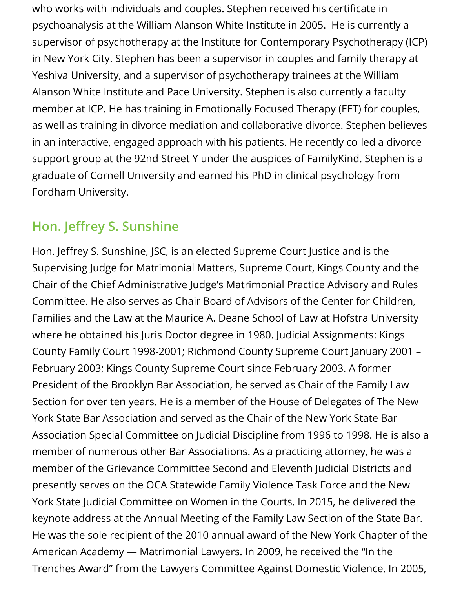who works with individuals and couples. Stephen received his certificate in psychoanalysis at the William Alanson White Institute in 2005. He is currently a supervisor of psychotherapy at the Institute for Contemporary Psychotherapy (ICP) in New York City. Stephen has been a supervisor in couples and family therapy at Yeshiva University, and a supervisor of psychotherapy trainees at the William Alanson White Institute and Pace University. Stephen is also currently a faculty member at ICP. He has training in Emotionally Focused Therapy (EFT) for couples, as well as training in divorce mediation and collaborative divorce. Stephen believes in an interactive, engaged approach with his patients. He recently co-led a divorce support group at the 92nd Street Y under the auspices of FamilyKind. Stephen is a graduate of Cornell University and earned his PhD in clinical psychology from Fordham University.

#### **Hon. Jeffrey S. Sunshine**

Hon. Jeffrey S. Sunshine, JSC, is an elected Supreme Court Justice and is the Supervising Judge for Matrimonial Matters, Supreme Court, Kings County and the Chair of the Chief Administrative Judge's Matrimonial Practice Advisory and Rules Committee. He also serves as Chair Board of Advisors of the Center for Children, Families and the Law at the Maurice A. Deane School of Law at Hofstra University where he obtained his Juris Doctor degree in 1980. Judicial Assignments: Kings County Family Court 1998-2001; Richmond County Supreme Court January 2001 – February 2003; Kings County Supreme Court since February 2003. A former President of the Brooklyn Bar Association, he served as Chair of the Family Law Section for over ten years. He is a member of the House of Delegates of The New York State Bar Association and served as the Chair of the New York State Bar Association Special Committee on Judicial Discipline from 1996 to 1998. He is also a member of numerous other Bar Associations. As a practicing attorney, he was a member of the Grievance Committee Second and Eleventh Judicial Districts and presently serves on the OCA Statewide Family Violence Task Force and the New York State Judicial Committee on Women in the Courts. In 2015, he delivered the keynote address at the Annual Meeting of the Family Law Section of the State Bar. He was the sole recipient of the 2010 annual award of the New York Chapter of the American Academy — Matrimonial Lawyers. In 2009, he received the "In the Trenches Award" from the Lawyers Committee Against Domestic Violence. In 2005,